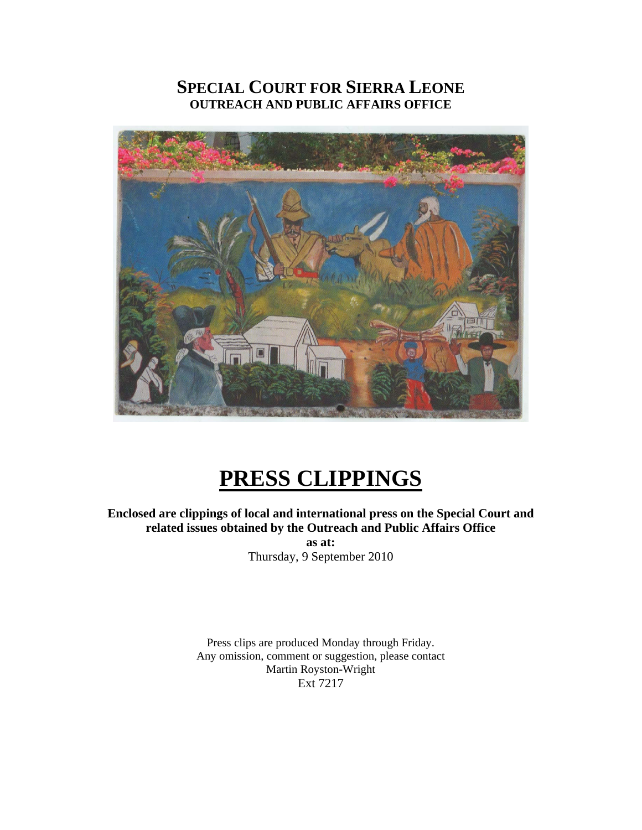# **SPECIAL COURT FOR SIERRA LEONE OUTREACH AND PUBLIC AFFAIRS OFFICE**



# **PRESS CLIPPINGS**

**Enclosed are clippings of local and international press on the Special Court and related issues obtained by the Outreach and Public Affairs Office as at:**  Thursday, 9 September 2010

> Press clips are produced Monday through Friday. Any omission, comment or suggestion, please contact Martin Royston-Wright Ext 7217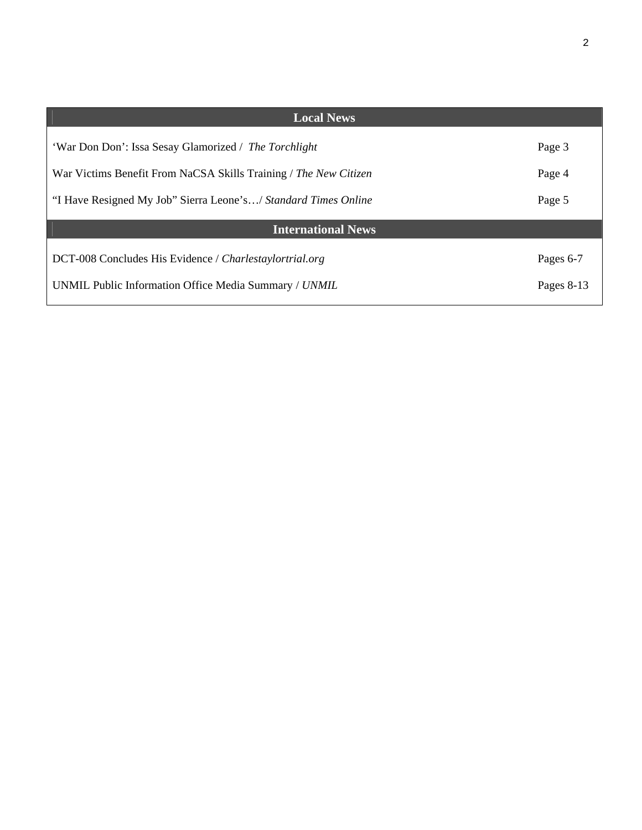| ٦ |   |         |  |
|---|---|---------|--|
|   | ٠ | I<br>۰, |  |
|   |   |         |  |
|   |   |         |  |

| <b>Local News</b>                                                |           |  |  |  |  |
|------------------------------------------------------------------|-----------|--|--|--|--|
| 'War Don Don': Issa Sesay Glamorized / The Torchlight            | Page 3    |  |  |  |  |
| War Victims Benefit From NaCSA Skills Training / The New Citizen |           |  |  |  |  |
| "I Have Resigned My Job" Sierra Leone's/ Standard Times Online   |           |  |  |  |  |
| <b>International News</b>                                        |           |  |  |  |  |
| DCT-008 Concludes His Evidence / Charlestaylortrial.org          | Pages 6-7 |  |  |  |  |
| UNMIL Public Information Office Media Summary / UNMIL            |           |  |  |  |  |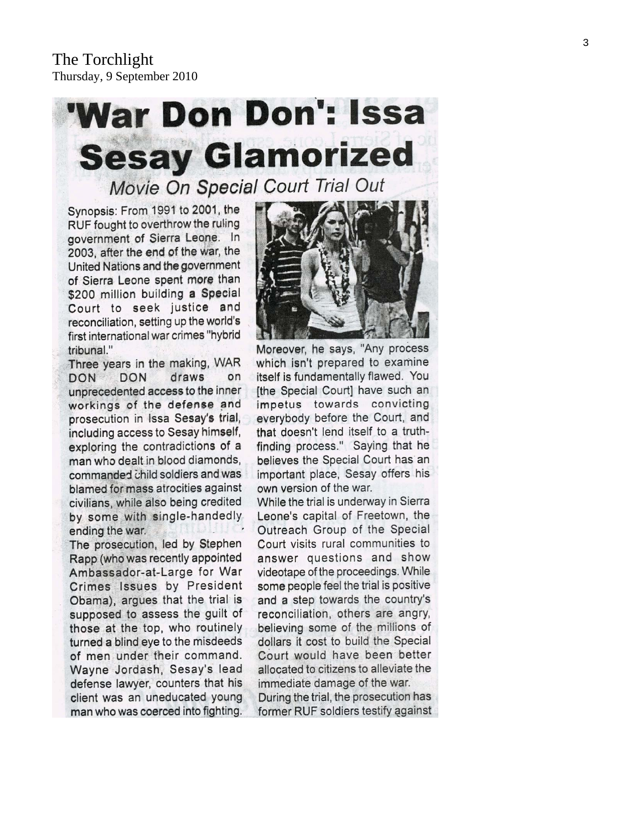# **'War Don Don': Issa Sesay Glamorized**

Movie On Special Court Trial Out

Synopsis: From 1991 to 2001, the RUF fought to overthrow the ruling government of Sierra Leone. In 2003, after the end of the war, the United Nations and the government of Sierra Leone spent more than \$200 million building a Special Court to seek justice and reconciliation, setting up the world's first international war crimes "hybrid tribunal."

Three years in the making, WAR **DON DON** draws on unprecedented access to the inner workings of the defense and prosecution in Issa Sesay's trial, including access to Sesay himself, exploring the contradictions of a man who dealt in blood diamonds, commanded child soldiers and was blamed for mass atrocities against civilians, while also being credited by some with single-handedly ending the war.

The prosecution, led by Stephen Rapp (who was recently appointed Ambassador-at-Large for War Crimes Issues by President Obama), argues that the trial is supposed to assess the guilt of those at the top, who routinely turned a blind eye to the misdeeds of men under their command. Wayne Jordash, Sesay's lead defense lawyer, counters that his client was an uneducated young man who was coerced into fighting.



Moreover, he says, "Any process which isn't prepared to examine itself is fundamentally flawed. You [the Special Court] have such an impetus towards convicting everybody before the Court, and that doesn't lend itself to a truthfinding process." Saying that he believes the Special Court has an important place, Sesay offers his own version of the war.

While the trial is underway in Sierra Leone's capital of Freetown, the Outreach Group of the Special Court visits rural communities to answer questions and show videotape of the proceedings. While some people feel the trial is positive and a step towards the country's reconciliation, others are angry, believing some of the millions of dollars it cost to build the Special Court would have been better allocated to citizens to alleviate the immediate damage of the war.

During the trial, the prosecution has former RUF soldiers testify against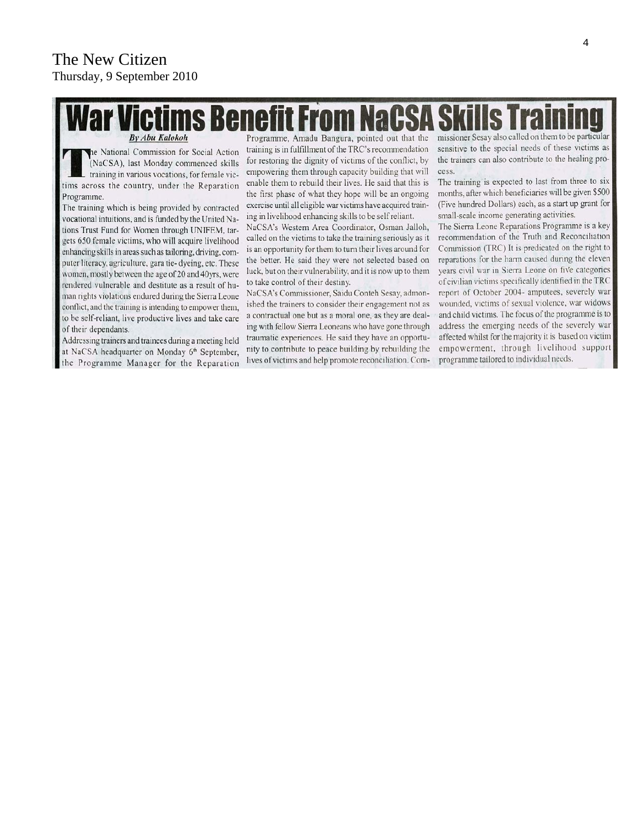# nefit Fr **By Abu Kalokoh**

the National Commission for Social Action (NaCSA), last Monday commenced skills - training in various vocations, for female victims across the country, under the Reparation Programme.

The training which is being provided by contracted vocational intuitions, and is funded by the United Nations Trust Fund for Women through UNIFEM, targets 650 female victims, who will acquire livelihood enhancing skills in areas such as tailoring, driving, computer literacy, agriculture, gara tie- dyeing, etc. These women, mostly between the age of 20 and 40yrs, were rendered vulnerable and destitute as a result of human rights violations endured during the Sierra Leone conflict, and the training is intending to empower them, to be self-reliant, live productive lives and take care of their dependants.

Addressing trainers and trainees during a meeting held at NaCSA headquarter on Monday 6<sup>th</sup> September, the Programme Manager for the Reparation

Programme, Amadu Bangura, pointed out that the training is in fulfillment of the TRC's recommendation for restoring the dignity of victims of the conflict, by empowering them through capacity building that will enable them to rebuild their lives. He said that this is the first phase of what they hope will be an ongoing exercise until all eligible war victims have acquired training in livelihood enhancing skills to be self reliant.

NaCSA's Western Area Coordinator, Osman Jalloh, called on the victims to take the training seriously as it is an opportunity for them to turn their lives around for the better. He said they were not selected based on luck, but on their vulnerability, and it is now up to them to take control of their destiny.

NaCSA's Commissioner, Saidu Conteh Sesay, admonished the trainers to consider their engagement not as a contractual one but as a moral one, as they are dealing with fellow Sierra Leoneans who have gone through traumatic experiences. He said they have an opportunity to contribute to peace building by rebuilding the lives of victims and help promote reconciliation. Commissioner Sesay also called on them to be particular sensitive to the special needs of these victims as the trainers can also contribute to the healing process.

The training is expected to last from three to six months, after which beneficiaries will be given \$500 (Five hundred Dollars) each, as a start up grant for small-scale income generating activities.

The Sierra Leone Reparations Programme is a key recommendation of the Truth and Reconciliation Commission (TRC) It is predicated on the right to reparations for the harm caused during the eleven years civil war in Sierra Leone on five categories of civilian victims specifically identified in the TRC report of October 2004- amputees, severely war wounded, victims of sexual violence, war widows and child victims. The focus of the programme is to address the emerging needs of the severely war affected whilst for the majority it is based on victim empowerment, through livelihood support programme tailored to individual needs.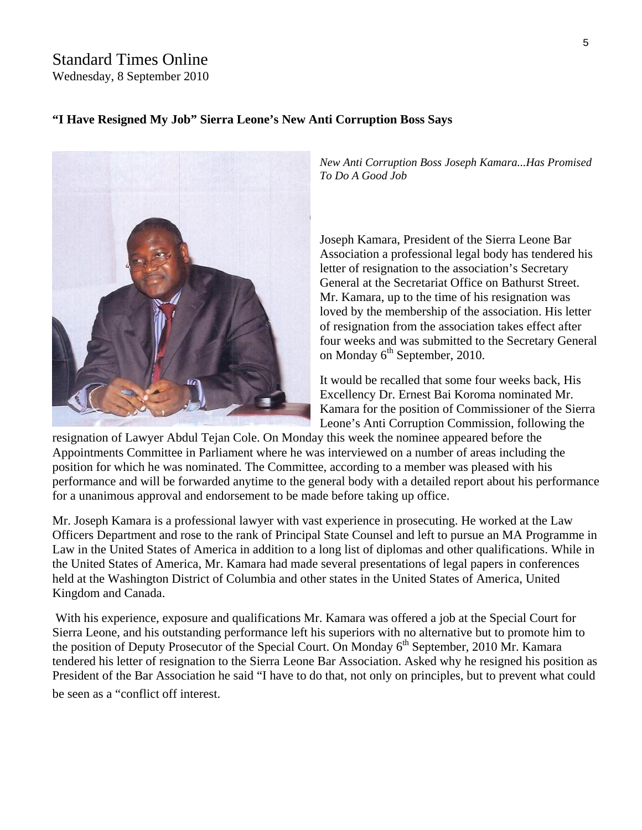# Standard Times Online

Wednesday, 8 September 2010

#### **"I Have Resigned My Job" Sierra Leone's New Anti Corruption Boss Says**



*New Anti Corruption Boss Joseph Kamara...Has Promised To Do A Good Job*

Joseph Kamara, President of the Sierra Leone Bar Association a professional legal body has tendered his letter of resignation to the association's Secretary General at the Secretariat Office on Bathurst Street. Mr. Kamara, up to the time of his resignation was loved by the membership of the association. His letter of resignation from the association takes effect after four weeks and was submitted to the Secretary General on Monday  $6<sup>th</sup>$  September, 2010.

It would be recalled that some four weeks back, His Excellency Dr. Ernest Bai Koroma nominated Mr. Kamara for the position of Commissioner of the Sierra Leone's Anti Corruption Commission, following the

resignation of Lawyer Abdul Tejan Cole. On Monday this week the nominee appeared before the Appointments Committee in Parliament where he was interviewed on a number of areas including the position for which he was nominated. The Committee, according to a member was pleased with his performance and will be forwarded anytime to the general body with a detailed report about his performance for a unanimous approval and endorsement to be made before taking up office.

Mr. Joseph Kamara is a professional lawyer with vast experience in prosecuting. He worked at the Law Officers Department and rose to the rank of Principal State Counsel and left to pursue an MA Programme in Law in the United States of America in addition to a long list of diplomas and other qualifications. While in the United States of America, Mr. Kamara had made several presentations of legal papers in conferences held at the Washington District of Columbia and other states in the United States of America, United Kingdom and Canada.

 With his experience, exposure and qualifications Mr. Kamara was offered a job at the Special Court for Sierra Leone, and his outstanding performance left his superiors with no alternative but to promote him to the position of Deputy Prosecutor of the Special Court. On Monday  $6<sup>th</sup>$  September, 2010 Mr. Kamara tendered his letter of resignation to the Sierra Leone Bar Association. Asked why he resigned his position as President of the Bar Association he said "I have to do that, not only on principles, but to prevent what could be seen as a "conflict off interest."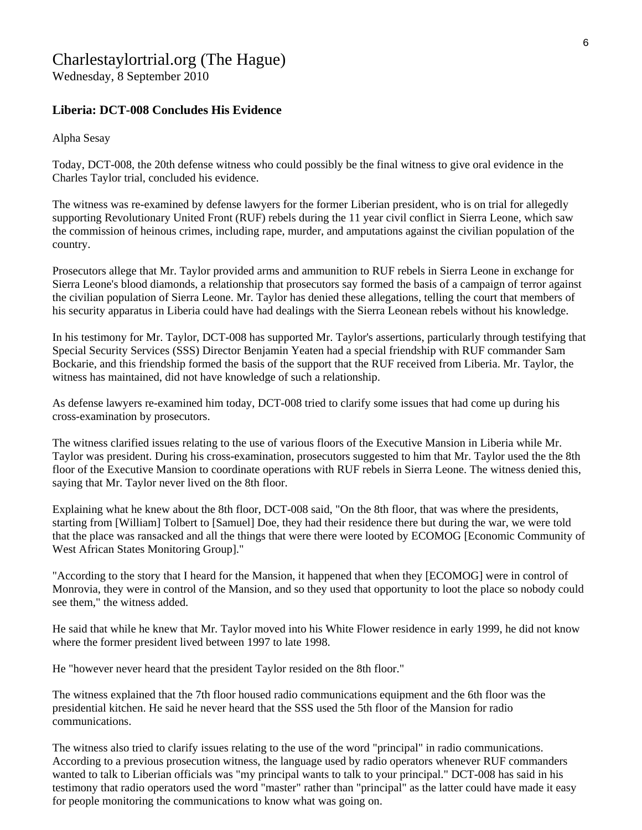# Charlestaylortrial.org (The Hague)

Wednesday, 8 September 2010

#### **Liberia: DCT-008 Concludes His Evidence**

Alpha Sesay

Today, DCT-008, the 20th defense witness who could possibly be the final witness to give oral evidence in the Charles Taylor trial, concluded his evidence.

The witness was re-examined by defense lawyers for the former Liberian president, who is on trial for allegedly supporting Revolutionary United Front (RUF) rebels during the 11 year civil conflict in Sierra Leone, which saw the commission of heinous crimes, including rape, murder, and amputations against the civilian population of the country.

Prosecutors allege that Mr. Taylor provided arms and ammunition to RUF rebels in Sierra Leone in exchange for Sierra Leone's blood diamonds, a relationship that prosecutors say formed the basis of a campaign of terror against the civilian population of Sierra Leone. Mr. Taylor has denied these allegations, telling the court that members of his security apparatus in Liberia could have had dealings with the Sierra Leonean rebels without his knowledge.

In his testimony for Mr. Taylor, DCT-008 has supported Mr. Taylor's assertions, particularly through testifying that Special Security Services (SSS) Director Benjamin Yeaten had a special friendship with RUF commander Sam Bockarie, and this friendship formed the basis of the support that the RUF received from Liberia. Mr. Taylor, the witness has maintained, did not have knowledge of such a relationship.

As defense lawyers re-examined him today, DCT-008 tried to clarify some issues that had come up during his cross-examination by prosecutors.

The witness clarified issues relating to the use of various floors of the Executive Mansion in Liberia while Mr. Taylor was president. During his cross-examination, prosecutors suggested to him that Mr. Taylor used the the 8th floor of the Executive Mansion to coordinate operations with RUF rebels in Sierra Leone. The witness denied this, saying that Mr. Taylor never lived on the 8th floor.

Explaining what he knew about the 8th floor, DCT-008 said, "On the 8th floor, that was where the presidents, starting from [William] Tolbert to [Samuel] Doe, they had their residence there but during the war, we were told that the place was ransacked and all the things that were there were looted by ECOMOG [Economic Community of West African States Monitoring Group]."

"According to the story that I heard for the Mansion, it happened that when they [ECOMOG] were in control of Monrovia, they were in control of the Mansion, and so they used that opportunity to loot the place so nobody could see them," the witness added.

He said that while he knew that Mr. Taylor moved into his White Flower residence in early 1999, he did not know where the former president lived between 1997 to late 1998.

He "however never heard that the president Taylor resided on the 8th floor."

The witness explained that the 7th floor housed radio communications equipment and the 6th floor was the presidential kitchen. He said he never heard that the SSS used the 5th floor of the Mansion for radio communications.

The witness also tried to clarify issues relating to the use of the word "principal" in radio communications. According to a previous prosecution witness, the language used by radio operators whenever RUF commanders wanted to talk to Liberian officials was "my principal wants to talk to your principal." DCT-008 has said in his testimony that radio operators used the word "master" rather than "principal" as the latter could have made it easy for people monitoring the communications to know what was going on.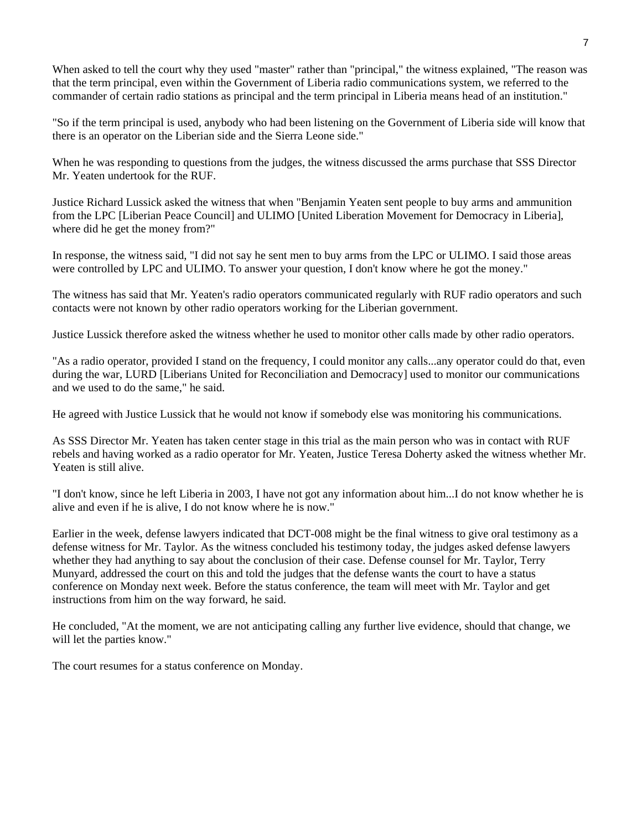When asked to tell the court why they used "master" rather than "principal," the witness explained, "The reason was that the term principal, even within the Government of Liberia radio communications system, we referred to the commander of certain radio stations as principal and the term principal in Liberia means head of an institution."

"So if the term principal is used, anybody who had been listening on the Government of Liberia side will know that there is an operator on the Liberian side and the Sierra Leone side."

When he was responding to questions from the judges, the witness discussed the arms purchase that SSS Director Mr. Yeaten undertook for the RUF.

Justice Richard Lussick asked the witness that when "Benjamin Yeaten sent people to buy arms and ammunition from the LPC [Liberian Peace Council] and ULIMO [United Liberation Movement for Democracy in Liberia], where did he get the money from?"

In response, the witness said, "I did not say he sent men to buy arms from the LPC or ULIMO. I said those areas were controlled by LPC and ULIMO. To answer your question, I don't know where he got the money."

The witness has said that Mr. Yeaten's radio operators communicated regularly with RUF radio operators and such contacts were not known by other radio operators working for the Liberian government.

Justice Lussick therefore asked the witness whether he used to monitor other calls made by other radio operators.

"As a radio operator, provided I stand on the frequency, I could monitor any calls...any operator could do that, even during the war, LURD [Liberians United for Reconciliation and Democracy] used to monitor our communications and we used to do the same," he said.

He agreed with Justice Lussick that he would not know if somebody else was monitoring his communications.

As SSS Director Mr. Yeaten has taken center stage in this trial as the main person who was in contact with RUF rebels and having worked as a radio operator for Mr. Yeaten, Justice Teresa Doherty asked the witness whether Mr. Yeaten is still alive.

"I don't know, since he left Liberia in 2003, I have not got any information about him...I do not know whether he is alive and even if he is alive, I do not know where he is now."

Earlier in the week, defense lawyers indicated that DCT-008 might be the final witness to give oral testimony as a defense witness for Mr. Taylor. As the witness concluded his testimony today, the judges asked defense lawyers whether they had anything to say about the conclusion of their case. Defense counsel for Mr. Taylor, Terry Munyard, addressed the court on this and told the judges that the defense wants the court to have a status conference on Monday next week. Before the status conference, the team will meet with Mr. Taylor and get instructions from him on the way forward, he said.

He concluded, "At the moment, we are not anticipating calling any further live evidence, should that change, we will let the parties know."

The court resumes for a status conference on Monday.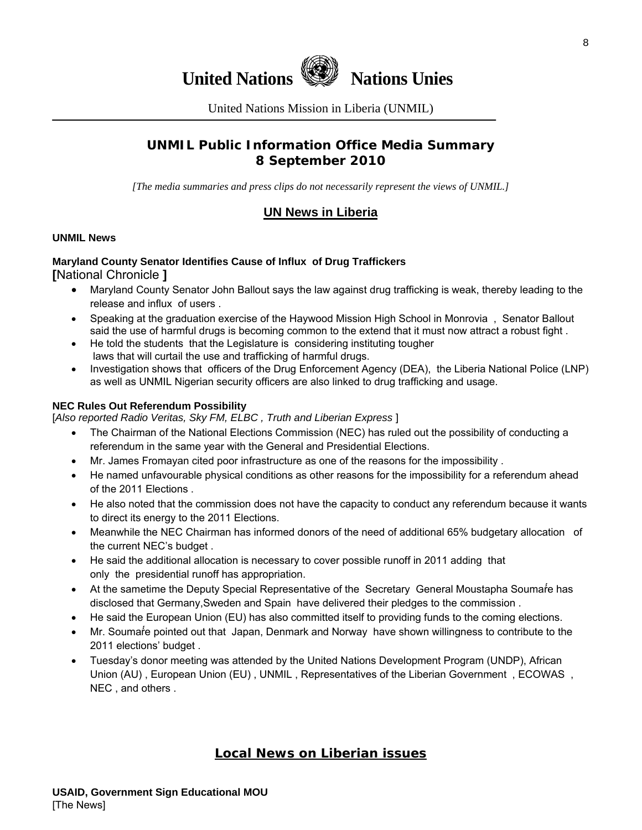

United Nations Mission in Liberia (UNMIL)

### **UNMIL Public Information Office Media Summary 8 September 2010**

*[The media summaries and press clips do not necessarily represent the views of UNMIL.]* 

#### **UN News in Liberia**

#### **UNMIL News**

#### **Maryland County Senator Identifies Cause of Influx of Drug Traffickers [**National Chronicle **]**

- Maryland County Senator John Ballout says the law against drug trafficking is weak, thereby leading to the release and influx of users .
- Speaking at the graduation exercise of the Haywood Mission High School in Monrovia , Senator Ballout said the use of harmful drugs is becoming common to the extend that it must now attract a robust fight .
- He told the students that the Legislature is considering instituting tougher laws that will curtail the use and trafficking of harmful drugs.
- Investigation shows that officers of the Drug Enforcement Agency (DEA), the Liberia National Police (LNP) as well as UNMIL Nigerian security officers are also linked to drug trafficking and usage.

#### **NEC Rules Out Referendum Possibility**

[*Also reported Radio Veritas, Sky FM, ELBC , Truth and Liberian Express* ]

- The Chairman of the National Elections Commission (NEC) has ruled out the possibility of conducting a referendum in the same year with the General and Presidential Elections.
- Mr. James Fromayan cited poor infrastructure as one of the reasons for the impossibility .
- He named unfavourable physical conditions as other reasons for the impossibility for a referendum ahead of the 2011 Elections .
- He also noted that the commission does not have the capacity to conduct any referendum because it wants to direct its energy to the 2011 Elections.
- Meanwhile the NEC Chairman has informed donors of the need of additional 65% budgetary allocation of the current NEC's budget .
- He said the additional allocation is necessary to cover possible runoff in 2011 adding that only the presidential runoff has appropriation.
- At the sametime the Deputy Special Representative of the Secretary General Moustapha Soumare has disclosed that Germany,Sweden and Spain have delivered their pledges to the commission .
- He said the European Union (EU) has also committed itself to providing funds to the coming elections.
- Mr. Soumarte pointed out that Japan, Denmark and Norway have shown willingness to contribute to the 2011 elections' budget .
- Tuesday's donor meeting was attended by the United Nations Development Program (UNDP), African Union (AU) , European Union (EU) , UNMIL , Representatives of the Liberian Government , ECOWAS , NEC , and others .

#### **Local News on Liberian issues**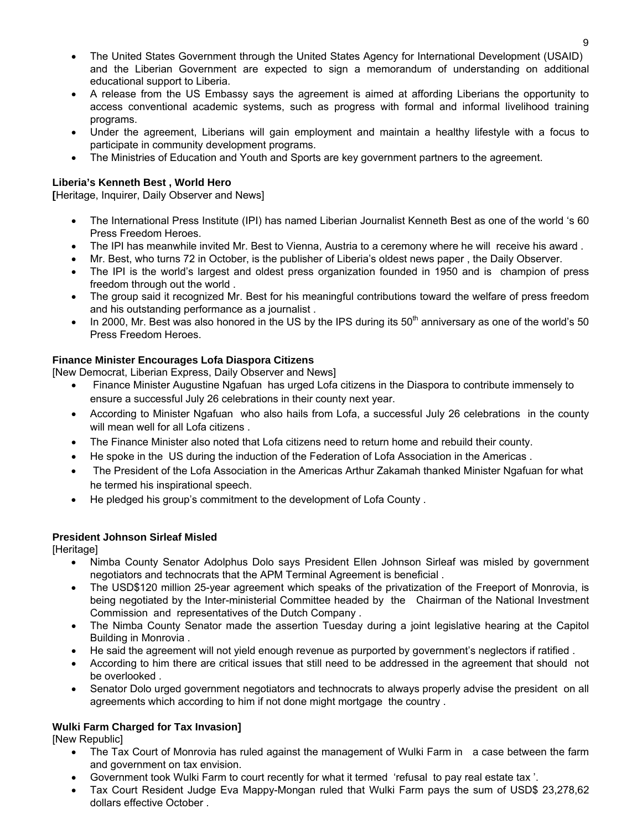- The United States Government through the United States Agency for International Development (USAID) and the Liberian Government are expected to sign a memorandum of understanding on additional educational support to Liberia.
- A release from the US Embassy says the agreement is aimed at affording Liberians the opportunity to access conventional academic systems, such as progress with formal and informal livelihood training programs.
- Under the agreement, Liberians will gain employment and maintain a healthy lifestyle with a focus to participate in community development programs.
- The Ministries of Education and Youth and Sports are key government partners to the agreement.

#### **Liberia's Kenneth Best , World Hero**

**[**Heritage, Inquirer, Daily Observer and News]

- The International Press Institute (IPI) has named Liberian Journalist Kenneth Best as one of the world 's 60 Press Freedom Heroes.
- The IPI has meanwhile invited Mr. Best to Vienna, Austria to a ceremony where he will receive his award .
- Mr. Best, who turns 72 in October, is the publisher of Liberia's oldest news paper , the Daily Observer.
- The IPI is the world's largest and oldest press organization founded in 1950 and is champion of press freedom through out the world .
- The group said it recognized Mr. Best for his meaningful contributions toward the welfare of press freedom and his outstanding performance as a journalist .
- In 2000, Mr. Best was also honored in the US by the IPS during its  $50<sup>th</sup>$  anniversary as one of the world's 50 Press Freedom Heroes.

#### **Finance Minister Encourages Lofa Diaspora Citizens**

[New Democrat, Liberian Express, Daily Observer and News]

- Finance Minister Augustine Ngafuan has urged Lofa citizens in the Diaspora to contribute immensely to ensure a successful July 26 celebrations in their county next year.
- According to Minister Ngafuan who also hails from Lofa, a successful July 26 celebrations in the county will mean well for all Lofa citizens.
- The Finance Minister also noted that Lofa citizens need to return home and rebuild their county.
- He spoke in the US during the induction of the Federation of Lofa Association in the Americas .
- The President of the Lofa Association in the Americas Arthur Zakamah thanked Minister Ngafuan for what he termed his inspirational speech.
- He pledged his group's commitment to the development of Lofa County .

#### **President Johnson Sirleaf Misled**

[Heritage]

- Nimba County Senator Adolphus Dolo says President Ellen Johnson Sirleaf was misled by government negotiators and technocrats that the APM Terminal Agreement is beneficial .
- The USD\$120 million 25-year agreement which speaks of the privatization of the Freeport of Monrovia, is being negotiated by the Inter-ministerial Committee headed by the Chairman of the National Investment Commission and representatives of the Dutch Company .
- The Nimba County Senator made the assertion Tuesday during a joint legislative hearing at the Capitol Building in Monrovia .
- He said the agreement will not yield enough revenue as purported by government's neglectors if ratified .
- According to him there are critical issues that still need to be addressed in the agreement that should not be overlooked .
- Senator Dolo urged government negotiators and technocrats to always properly advise the president on all agreements which according to him if not done might mortgage the country .

#### **Wulki Farm Charged for Tax Invasion]**

[New Republic]

- The Tax Court of Monrovia has ruled against the management of Wulki Farm in a case between the farm and government on tax envision.
- Government took Wulki Farm to court recently for what it termed 'refusal to pay real estate tax '.
- Tax Court Resident Judge Eva Mappy-Mongan ruled that Wulki Farm pays the sum of USD\$ 23,278,62 dollars effective October .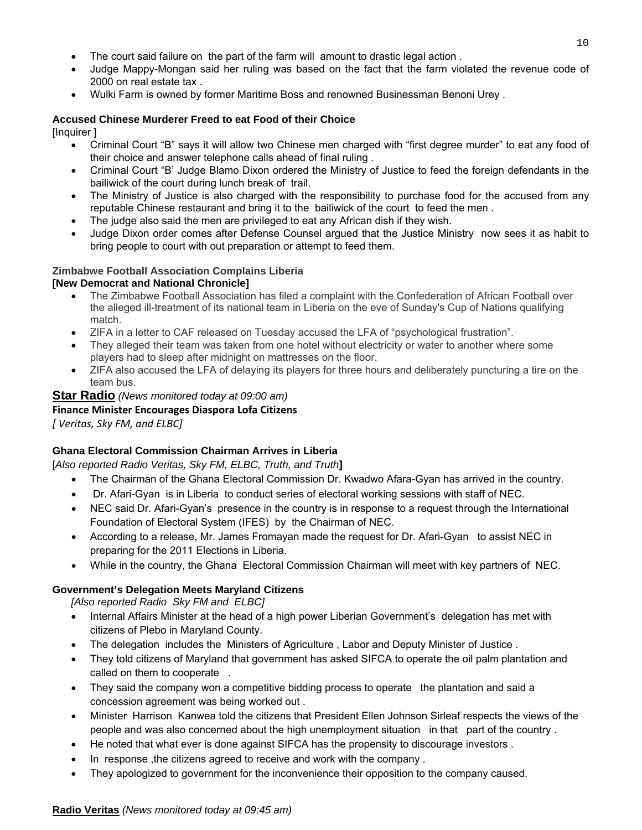- The court said failure on the part of the farm will amount to drastic legal action .
- Judge Mappy-Mongan said her ruling was based on the fact that the farm violated the revenue code of 2000 on real estate tax .
- Wulki Farm is owned by former Maritime Boss and renowned Businessman Benoni Urey .

#### **Accused Chinese Murderer Freed to eat Food of their Choice**

[Inquirer ]

- Criminal Court "B" says it will allow two Chinese men charged with "first degree murder" to eat any food of their choice and answer telephone calls ahead of final ruling .
- Criminal Court "B' Judge Blamo Dixon ordered the Ministry of Justice to feed the foreign defendants in the bailiwick of the court during lunch break of trail.
- The Ministry of Justice is also charged with the responsibility to purchase food for the accused from any reputable Chinese restaurant and bring it to the bailiwick of the court to feed the men .
- The judge also said the men are privileged to eat any African dish if they wish.
- Judge Dixon order comes after Defense Counsel argued that the Justice Ministry now sees it as habit to bring people to court with out preparation or attempt to feed them.

#### **Zimbabwe Football Association Complains Liberia**

#### **[New Democrat and National Chronicle]**

- The Zimbabwe Football Association has filed a complaint with the Confederation of African Football over the alleged ill-treatment of its national team in Liberia on the eve of Sunday's Cup of Nations qualifying match.
- ZIFA in a letter to CAF released on Tuesday accused the LFA of "psychological frustration".
- They alleged their team was taken from one hotel without electricity or water to another where some players had to sleep after midnight on mattresses on the floor.
- ZIFA also accused the LFA of delaying its players for three hours and deliberately puncturing a tire on the team bus.

#### **Star Radio** *(News monitored today at 09:00 am)*

#### **Finance Minister Encourages Diaspora Lofa Citizens**

*[ Veritas, Sky FM, and ELBC]*

#### **Ghana Electoral Commission Chairman Arrives in Liberia**

[*Also reported Radio Veritas, Sky FM, ELBC, Truth, and Truth***]**

- The Chairman of the Ghana Electoral Commission Dr. Kwadwo Afara-Gyan has arrived in the country.
- Dr. Afari-Gyan is in Liberia to conduct series of electoral working sessions with staff of NEC.
- NEC said Dr. Afari-Gyan's presence in the country is in response to a request through the International Foundation of Electoral System (IFES) by the Chairman of NEC.
- According to a release, Mr. James Fromayan made the request for Dr. Afari-Gyan to assist NEC in preparing for the 2011 Elections in Liberia.
- While in the country, the Ghana Electoral Commission Chairman will meet with key partners of NEC.

#### **Government's Delegation Meets Maryland Citizens**

*[Also reported Radio Sky FM and ELBC]*

- Internal Affairs Minister at the head of a high power Liberian Government's delegation has met with citizens of Plebo in Maryland County.
- The delegation includes the Ministers of Agriculture , Labor and Deputy Minister of Justice .
- They told citizens of Maryland that government has asked SIFCA to operate the oil palm plantation and called on them to cooperate .
- They said the company won a competitive bidding process to operate the plantation and said a concession agreement was being worked out .
- Minister Harrison Kanwea told the citizens that President Ellen Johnson Sirleaf respects the views of the people and was also concerned about the high unemployment situation in that part of the country .
- He noted that what ever is done against SIFCA has the propensity to discourage investors.
- In response ,the citizens agreed to receive and work with the company .
- They apologized to government for the inconvenience their opposition to the company caused.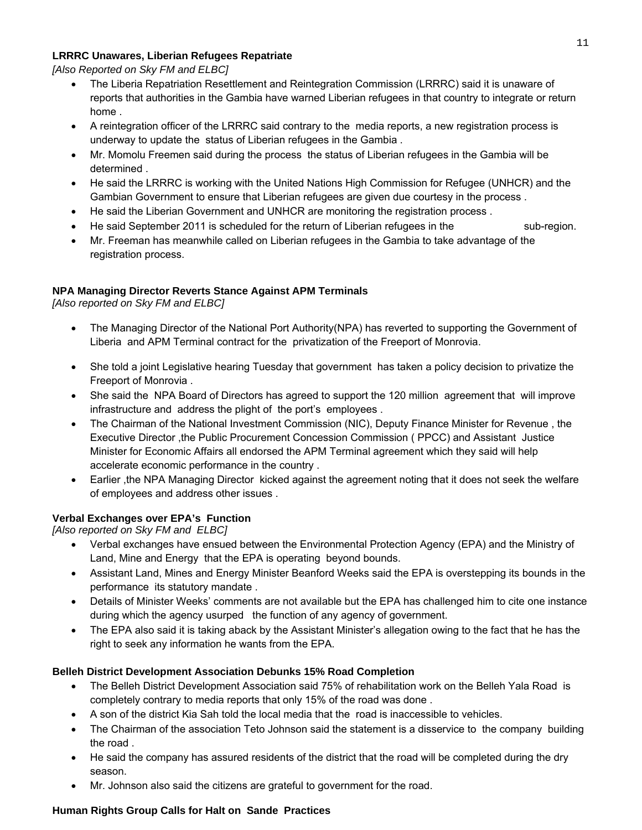#### **LRRRC Unawares, Liberian Refugees Repatriate**

*[Also Reported on Sky FM and ELBC]*

- The Liberia Repatriation Resettlement and Reintegration Commission (LRRRC) said it is unaware of reports that authorities in the Gambia have warned Liberian refugees in that country to integrate or return home .
- A reintegration officer of the LRRRC said contrary to the media reports, a new registration process is underway to update the status of Liberian refugees in the Gambia .
- Mr. Momolu Freemen said during the process the status of Liberian refugees in the Gambia will be determined .
- He said the LRRRC is working with the United Nations High Commission for Refugee (UNHCR) and the Gambian Government to ensure that Liberian refugees are given due courtesy in the process .
- He said the Liberian Government and UNHCR are monitoring the registration process .
- He said September 2011 is scheduled for the return of Liberian refugees in the sub-region.
- Mr. Freeman has meanwhile called on Liberian refugees in the Gambia to take advantage of the registration process.

#### **NPA Managing Director Reverts Stance Against APM Terminals**

*[Also reported on Sky FM and ELBC]*

- The Managing Director of the National Port Authority(NPA) has reverted to supporting the Government of Liberia and APM Terminal contract for the privatization of the Freeport of Monrovia.
- She told a joint Legislative hearing Tuesday that government has taken a policy decision to privatize the Freeport of Monrovia .
- She said the NPA Board of Directors has agreed to support the 120 million agreement that will improve infrastructure and address the plight of the port's employees .
- The Chairman of the National Investment Commission (NIC), Deputy Finance Minister for Revenue , the Executive Director ,the Public Procurement Concession Commission ( PPCC) and Assistant Justice Minister for Economic Affairs all endorsed the APM Terminal agreement which they said will help accelerate economic performance in the country .
- Earlier, the NPA Managing Director kicked against the agreement noting that it does not seek the welfare of employees and address other issues .

#### **Verbal Exchanges over EPA's Function**

*[Also reported on Sky FM and ELBC]*

- Verbal exchanges have ensued between the Environmental Protection Agency (EPA) and the Ministry of Land, Mine and Energy that the EPA is operating beyond bounds.
- Assistant Land, Mines and Energy Minister Beanford Weeks said the EPA is overstepping its bounds in the performance its statutory mandate .
- Details of Minister Weeks' comments are not available but the EPA has challenged him to cite one instance during which the agency usurped the function of any agency of government.
- The EPA also said it is taking aback by the Assistant Minister's allegation owing to the fact that he has the right to seek any information he wants from the EPA.

#### **Belleh District Development Association Debunks 15% Road Completion**

- The Belleh District Development Association said 75% of rehabilitation work on the Belleh Yala Road is completely contrary to media reports that only 15% of the road was done .
- A son of the district Kia Sah told the local media that the road is inaccessible to vehicles.
- The Chairman of the association Teto Johnson said the statement is a disservice to the company building the road .
- He said the company has assured residents of the district that the road will be completed during the dry season.
- Mr. Johnson also said the citizens are grateful to government for the road.

#### **Human Rights Group Calls for Halt on Sande Practices**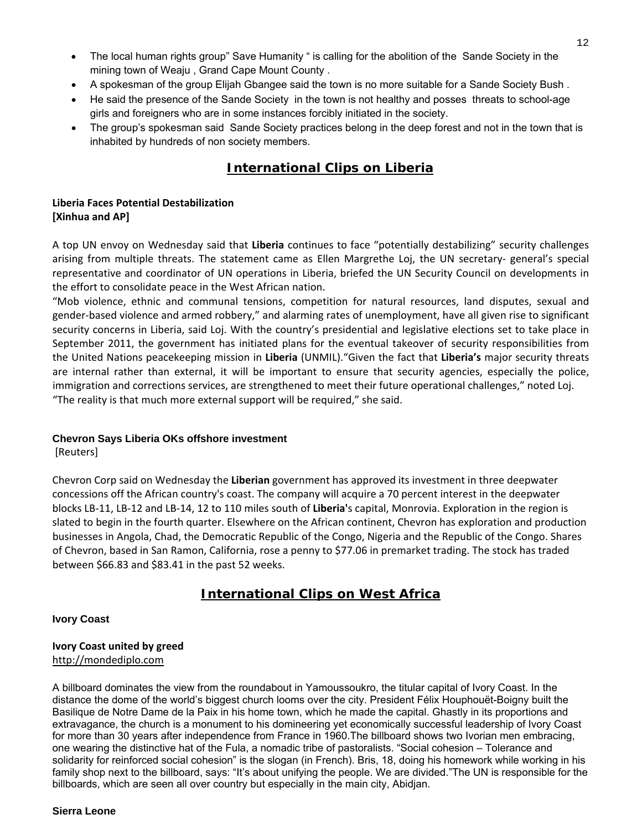- The local human rights group" Save Humanity " is calling for the abolition of the Sande Society in the mining town of Weaju , Grand Cape Mount County .
- A spokesman of the group Elijah Gbangee said the town is no more suitable for a Sande Society Bush .
- He said the presence of the Sande Society in the town is not healthy and posses threats to school-age girls and foreigners who are in some instances forcibly initiated in the society.
- The group's spokesman said Sande Society practices belong in the deep forest and not in the town that is inhabited by hundreds of non society members.

# **International Clips on Liberia**

#### **Liberia Faces Potential Destabilization [Xinhua and AP]**

A top UN envoy on Wednesday said that **Liberia** continues to face "potentially destabilizing" security challenges arising from multiple threats. The statement came as Ellen Margrethe Loj, the UN secretary‐ general's special representative and coordinator of UN operations in Liberia, briefed the UN Security Council on developments in the effort to consolidate peace in the West African nation.

"Mob violence, ethnic and communal tensions, competition for natural resources, land disputes, sexual and gender‐based violence and armed robbery," and alarming rates of unemployment, have all given rise to significant security concerns in Liberia, said Loj. With the country's presidential and legislative elections set to take place in September 2011, the government has initiated plans for the eventual takeover of security responsibilities from the United Nations peacekeeping mission in **Liberia** (UNMIL)."Given the fact that **Liberia's** major security threats are internal rather than external, it will be important to ensure that security agencies, especially the police, immigration and corrections services, are strengthened to meet their future operational challenges," noted Loj. "The reality is that much more external support will be required," she said.

#### **Chevron Says Liberia OKs offshore investment**

[Reuters]

Chevron Corp said on Wednesday the **Liberian** government has approved its investment in three deepwater concessions off the African country's coast. The company will acquire a 70 percent interest in the deepwater blocks LB‐11, LB‐12 and LB‐14, 12 to 110 miles south of **Liberia'**s capital, Monrovia. Exploration in the region is slated to begin in the fourth quarter. Elsewhere on the African continent, Chevron has exploration and production businesses in Angola, Chad, the Democratic Republic of the Congo, Nigeria and the Republic of the Congo. Shares of Chevron, based in San Ramon, California, rose a penny to \$77.06 in premarket trading. The stock has traded between \$66.83 and \$83.41 in the past 52 weeks.

## **International Clips on West Africa**

#### **Ivory Coast**

#### **Ivory Coast united by greed** [http://mondediplo.com](http://mondediplo.com/)

A billboard dominates the view from the roundabout in Yamoussoukro, the titular capital of Ivory Coast. In the distance the dome of the world's biggest church looms over the city. President Félix Houphouët-Boigny built the Basilique de Notre Dame de la Paix in his home town, which he made the capital. Ghastly in its proportions and extravagance, the church is a monument to his domineering yet economically successful leadership of Ivory Coast for more than 30 years after independence from France in 1960.The billboard shows two Ivorian men embracing, one wearing the distinctive hat of the Fula, a nomadic tribe of pastoralists. "Social cohesion – Tolerance and solidarity for reinforced social cohesion" is the slogan (in French). Bris, 18, doing his homework while working in his family shop next to the billboard, says: "It's about unifying the people. We are divided."The UN is responsible for the billboards, which are seen all over country but especially in the main city, Abidjan.

#### **Sierra Leone**